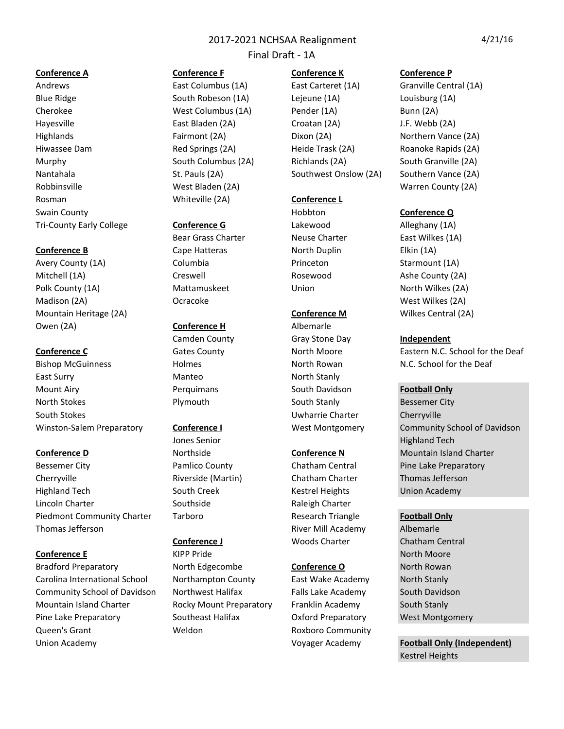Final Draft - 1A

Blue Ridge The South Robeson (1A) Lejeune (1A) Louisburg (1A) Cherokee **Cherokee** West Columbus (1A) Pender (1A) Bunn (2A) Hayesville **East Bladen** (2A) Croatan (2A) **J.F.** Webb (2A) Highlands **Fairmont** (2A) Dixon (2A) Dixon (2A) Dixon (2A) Northern Vance (2A) Hiwassee Dam **Red Springs** (2A) Heide Trask (2A) Roanoke Rapids (2A) Roanoke Rapids (2A) Murphy South Columbus (2A) Richlands (2A) South Granville (2A) South Granville (2A) Nantahala St. Pauls (2A) Southwest Onslow (2A) Southern Vance (2A) Robbinsville **West Bladen** (2A) **West Bladen** (2A) Warren County (2A) Rosman **Conference** L **Whiteville** (2A) **Conference** L Swain County **Conference Q Conference Q Conference Q** Tri-County Early College **Conference G** Lakewood **Alleghany** (1A)

Avery County (1A) **Columbia** Columbia **Princeton** Starmount (1A) Mitchell (1A) **Creswell** Creswell **Rosewood** Ashe County (2A) Polk County (1A) **Mattamuskeet** Union North Wilkes (2A) Madison (2A) **Ocracoke** Ocracoke West Wilkes (2A) Mountain Heritage (2A) **Conference M** Wilkes Central (2A) **Conference M** Wilkes Central (2A) Owen (2A) **Conference H** Albemarle

Bishop McGuinness **Roman Holmes** Holmes North Rowan N.C. School for the Deaf East Surry **North Standall** Manteo **North Stanly** Mount Airy **Now Account Airly Contains Account Airly Containers** South Davidson **Football Only** North Stokes **South Stocket Bessemer** City Plymouth South Stanly South Stanly Bessemer City South Stokes **South Stokes** Cherryville

Bessemer City **Pamlico County** Chatham Central Pine Lake Preparatory Cherryville **Riverside** (Martin) Chatham Charter Thomas Jefferson Highland Tech **South Creek** Kestrel Heights Union Academy Lincoln Charter The Southside Raleigh Charter Raleigh Charter Piedmont Community Charter Tarboro **Research Triangle Football Only** Thomas Jefferson **River Albemarle River Mill Academy** Albemarle

Bradford Preparatory **North Edgecombe Conference O** North Rowan Carolina International School Morthampton County East Wake Academy North Stanly Community School of Davidson Northwest Halifax Falls Lake Academy South Davidson Mountain Island Charter **Rocky Mount Preparatory** Franklin Academy South Stanly Pine Lake Preparatory **Southeast Halifax Oxford Preparatory** West Montgomery Queen's Grant **Community COMECON COMMUNITY Roxboro** Community Union Academy **The Conduct of Accept Academy** Voyager Academy **Football Only (Independent)** 

Bear Grass Charter **Neuse Charter** East Wilkes (1A) **Conference B** Cape Hatteras North Duplin Elkin (1A)

**Conference E** North Moore (KIPP Pride North Moore North Moore North Moore North Moore

## **Conference A Conference F Conference K Conference P**

Andrews **East Columbus** (1A) East Carteret (1A) Granville Central (1A)

Camden County **Gray Stone Day Independent** 

**Conference J** Woods Charter Chatham Central

**Conference C** Gates County **Conference C** Gates County **Conference C** Eastern N.C. School for the Deaf

Winston-Salem Preparatory **Conference I** West Montgomery Community School of Davidson Jones Senior **Accord Entity Contract Contract Contract Contract Contract Contract Contract Contract Contract Contract Contract Contract Contract Contract Contract Contract Contract Contract Contract Contract Contract Contr Conference D Conference N** Morthside **Conference N** Mountain Island Charter

Kestrel Heights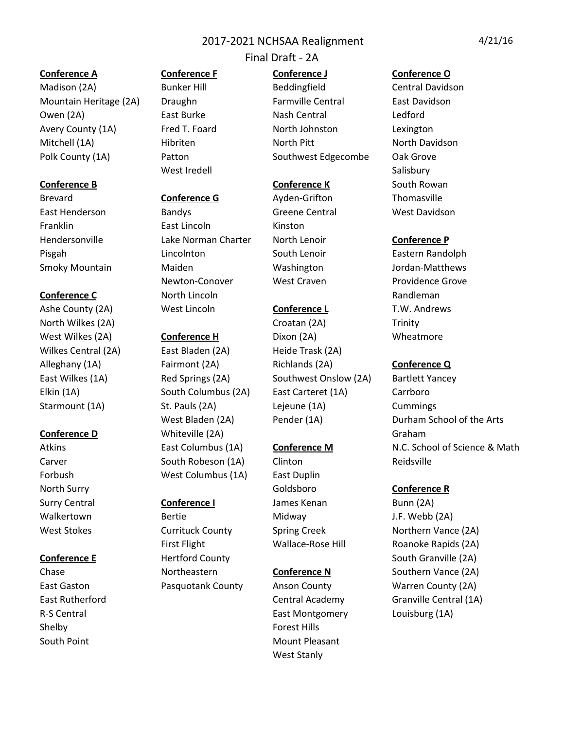## Final Draft - 2A

Mountain Heritage (2A) Draughn Farmville Central East Davidson Owen (2A) **East Burke** Nash Central Ledford Avery County (1A) Fred T. Foard North Johnston Lexington Mitchell (1A) Hibriten North Pitt North Davidson Polk County (1A) Patton Patton Southwest Edgecombe Oak Grove

North Wilkes (2A) **North Wilkes** (2A) Trinity Wilkes Central (2A) East Bladen (2A) Heide Trask (2A)

Shelby **Forest Hills** South Point Mount Pleasant

West Iredell **Salisbury** Salisbury

## Brevard **Conference G** Ayden-Grifton Thomasville

East Henderson **Bandys** Bandys Greene Central West Davidson Franklin **East Lincoln** Kinston Hendersonville **Lake Norman Charter** North Lenoir **Conference P** Pisgah **Lincolnton** Couth Lenoir Eastern Randolph Smoky Mountain Maiden Washington Jordan-Matthews Newton-Conover West Craven **Providence Grove Conference C North Lincoln Randleman Randleman** Ashe County (2A) West Lincoln **Conference L** T.W. Andrews

**Conference D** Whiteville (2A) **Conference D** Graham Carver **South Robeson (1A)** Clinton Carver Reidsville Forbush West Columbus (1A) East Duplin

Walkertown **Bertie** Bertie Midway J.F. Webb (2A)

Madison (2A) Bunker Hill Beddingfield Central Davidson

West Wilkes (2A) **Conference H** Dixon (2A) Wheatmore Alleghany (1A) **Fairmont (2A)** Richlands (2A) **Conference Q** East Wilkes (1A) Red Springs (2A) Southwest Onslow (2A) Bartlett Yancey Elkin (1A) **South Columbus** (2A) East Carteret (1A) Carrboro Starmount (1A) St. Pauls (2A) Lejeune (1A) Cummings

North Surry **Conference R Conference R Conference R Conference R** Surry Central **Conference I** James Kenan Bunn (2A)

R-S Central **East Montgomery** Louisburg (1A) West Stanly

## **Conference A Conference F Conference J Conference O**

**Conference B Conference K** South Rowan

West Bladen (2A) Pender (1A) Durham School of the Arts Atkins **East Columbus (1A) Conference M N.C.** School of Science & Math

West Stokes **Currituck County** Spring Creek **Northern Vance** (2A) First Flight **Wallace-Rose Hill** Roanoke Rapids (2A) **Conference E** Hertford County **Example 24** Hertford County **Example 24** South Granville (2A) Chase **Northeastern Conference N** Southern Vance (2A) East Gaston **Pasquotank County** Anson County Warren County (2A) East Rutherford **Cancel Central Academy** Granville Central (1A)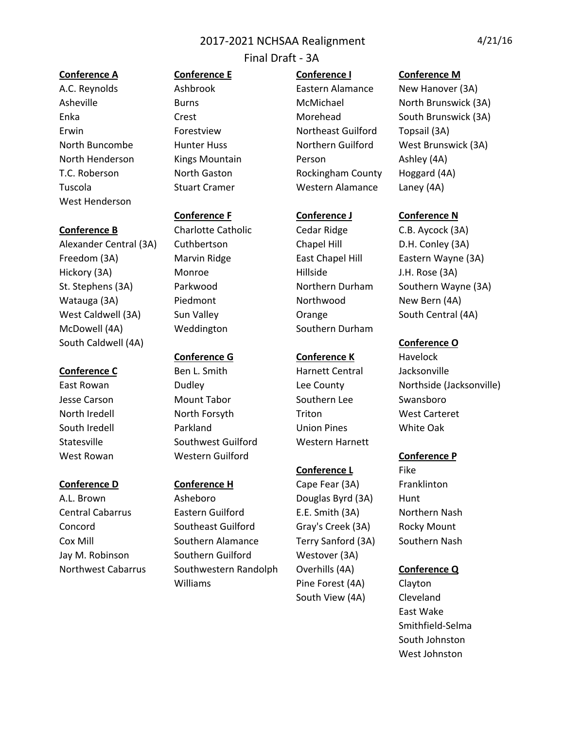## Final Draft - 3A

West Henderson

Alexander Central (3A) Cuthbertson Chapel Hill Conley (3A) Freedom (3A) Marvin Ridge East Chapel Hill Eastern Wayne (3A) Hickory (3A) **Monroe** Hillside J.H. Rose (3A) St. Stephens (3A) Parkwood Northern Durham Southern Wayne (3A) Watauga (3A) Piedmont Northwood New Bern (4A) West Caldwell (3A) Sun Valley Cannon Corange South Central (4A) McDowell (4A) Weddington Southern Durham South Caldwell (4A) **Conference O** 

**Conference B** Charlotte Catholic Cedar Ridge C.B. Aycock (3A)

**Conference C** Ben L. Smith **Harnett Central Busic Jacksonville** Jesse Carson **Mount Tabor** Southern Lee Swansboro North Iredell **North Forsyth** Triton West Carteret South Iredell **South Iredell** Parkland **Communist Union Pines** White Oak Statesville Southwest Guilford Western Harnett West Rowan **Conference P** Western Guilford **CONFERENCE P** 

A.L. Brown **Asheboro** Douglas Byrd (3A) Hunt Central Cabarrus **Eastern Guilford** E.E. Smith (3A) Northern Nash Concord Southeast Guilford Gray's Creek (3A) Rocky Mount Cox Mill Southern Alamance Terry Sanford (3A) Southern Nash Jay M. Robinson Southern Guilford Westover (3A) Northwest Cabarrus Southwestern Randolph Overhills (4A) **Conference Q** Williams Pine Forest (4A) Clayton

A.C. Reynolds **Ashbrook** Eastern Alamance New Hanover (3A) Erwin Forestview **Northeast Guilford** Topsail (3A) North Henderson Kings Mountain Person Ashley (4A) T.C. Roberson **North Gaston** Rockingham County Hoggard (4A) Tuscola **Stuart Cramer** Stuart Cramer **Western Alamance** Laney (4A)

## **Conference G Conference K** Havelock

## **Conference L** Fike

**Conference D Conference H** Cape Fear (3A) Franklinton South View (4A) Cleveland

## **Conference A Conference E Conference I Conference M**

Asheville **Burns** Burns McMichael Morth Brunswick (3A) Enka Crest Crest Morehead South Brunswick (3A) North Buncombe Hunter Huss Northern Guilford West Brunswick (3A)

## **Conference F Conference J Conference N**

East Rowan **Dudley Dume County** Lee County **Northside** (Jacksonville)

East Wake Smithfield-Selma South Johnston West Johnston